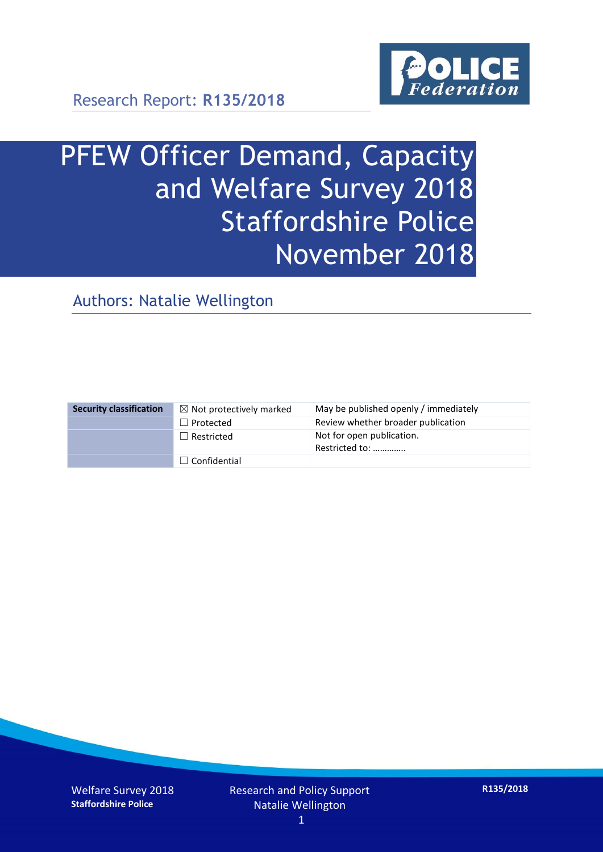

Research Report: **R135/2018**

# PFEW Officer Demand, Capacity and Welfare Survey 2018 Staffordshire Police November 2018

Authors: Natalie Wellington

| <b>Security classification</b> | $\boxtimes$ Not protectively marked | May be published openly / immediately       |
|--------------------------------|-------------------------------------|---------------------------------------------|
|                                | $\Box$ Protected                    | Review whether broader publication          |
|                                | $\Box$ Restricted                   | Not for open publication.<br>Restricted to: |
|                                | $\Box$ Confidential                 |                                             |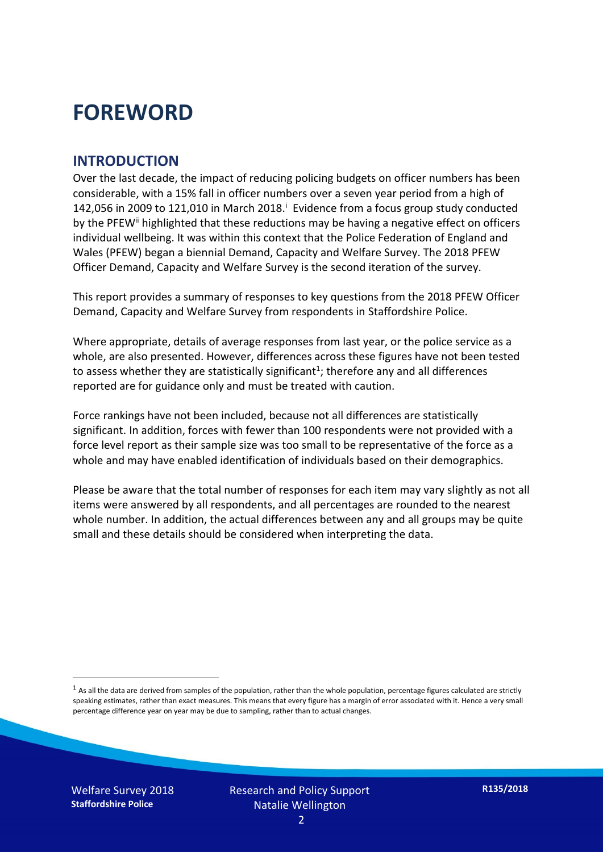### **FOREWORD**

#### **INTRODUCTION**

Over the last decade, the impact of reducing policing budgets on officer numbers has been considerable, with a 15% fall in officer numbers over a seven year period from a high of 142,056 in 2009 to 121,010 in March 2018. $^{\mathrm{i}}$  Evidence from a focus group study conducted by the PFEW<sup>ii</sup> highlighted that these reductions may be having a negative effect on officers individual wellbeing. It was within this context that the Police Federation of England and Wales (PFEW) began a biennial Demand, Capacity and Welfare Survey. The 2018 PFEW Officer Demand, Capacity and Welfare Survey is the second iteration of the survey.

This report provides a summary of responses to key questions from the 2018 PFEW Officer Demand, Capacity and Welfare Survey from respondents in Staffordshire Police.

Where appropriate, details of average responses from last year, or the police service as a whole, are also presented. However, differences across these figures have not been tested to assess whether they are statistically significant<sup>1</sup>; therefore any and all differences reported are for guidance only and must be treated with caution.

Force rankings have not been included, because not all differences are statistically significant. In addition, forces with fewer than 100 respondents were not provided with a force level report as their sample size was too small to be representative of the force as a whole and may have enabled identification of individuals based on their demographics.

Please be aware that the total number of responses for each item may vary slightly as not all items were answered by all respondents, and all percentages are rounded to the nearest whole number. In addition, the actual differences between any and all groups may be quite small and these details should be considered when interpreting the data.

Welfare Survey 2018 **Staffordshire Police**

-

 $<sup>1</sup>$  As all the data are derived from samples of the population, rather than the whole population, percentage figures calculated are strictly</sup> speaking estimates, rather than exact measures. This means that every figure has a margin of error associated with it. Hence a very small percentage difference year on year may be due to sampling, rather than to actual changes.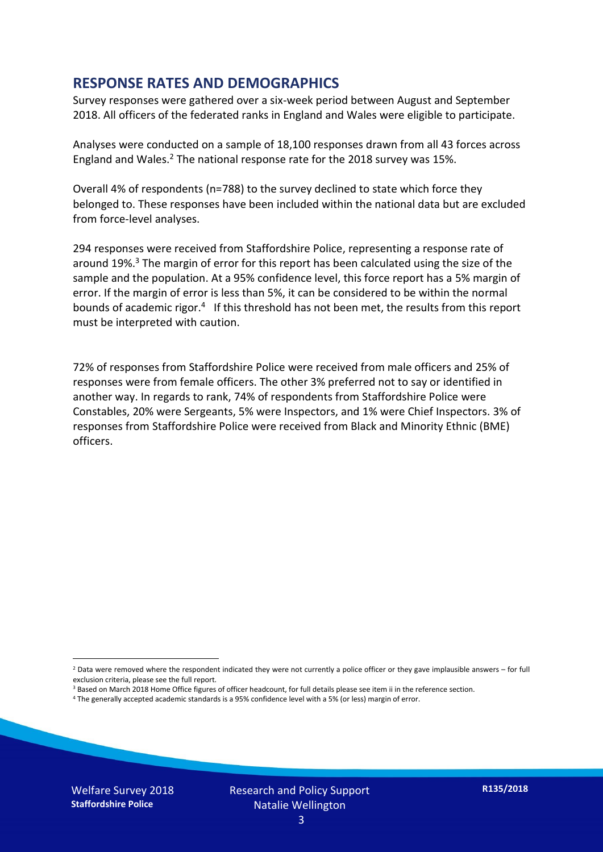#### **RESPONSE RATES AND DEMOGRAPHICS**

Survey responses were gathered over a six-week period between August and September 2018. All officers of the federated ranks in England and Wales were eligible to participate.

Analyses were conducted on a sample of 18,100 responses drawn from all 43 forces across England and Wales.<sup>2</sup> The national response rate for the 2018 survey was 15%.

Overall 4% of respondents (n=788) to the survey declined to state which force they belonged to. These responses have been included within the national data but are excluded from force-level analyses.

294 responses were received from Staffordshire Police, representing a response rate of around 19%. <sup>3</sup> The margin of error for this report has been calculated using the size of the sample and the population. At a 95% confidence level, this force report has a 5% margin of error. If the margin of error is less than 5%, it can be considered to be within the normal bounds of academic rigor.<sup>4</sup> If this threshold has not been met, the results from this report must be interpreted with caution.

72% of responses from Staffordshire Police were received from male officers and 25% of responses were from female officers. The other 3% preferred not to say or identified in another way. In regards to rank, 74% of respondents from Staffordshire Police were Constables, 20% were Sergeants, 5% were Inspectors, and 1% were Chief Inspectors. 3% of responses from Staffordshire Police were received from Black and Minority Ethnic (BME) officers.

-

 $2$  Data were removed where the respondent indicated they were not currently a police officer or they gave implausible answers – for full exclusion criteria, please see the full report.

<sup>3</sup> Based on March 2018 Home Office figures of officer headcount, for full details please see item ii in the reference section.

<sup>4</sup> The generally accepted academic standards is a 95% confidence level with a 5% (or less) margin of error.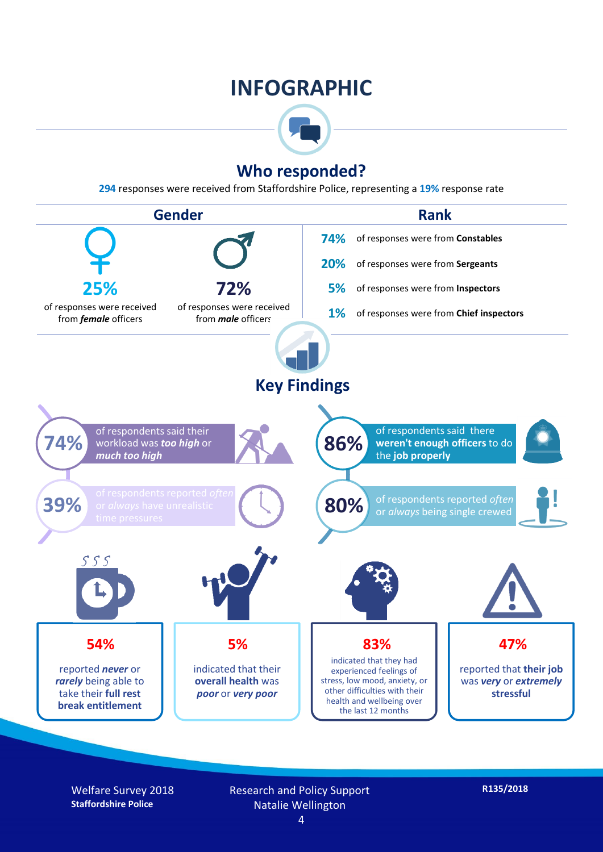### **INFOGRAPHIC**



#### **Who responded?**

**294** responses were received from Staffordshire Police, representing a **19%** response rate



Welfare Survey 2018 **Staffordshire Police**

Research and Policy Support Natalie Wellington

**R135/2018**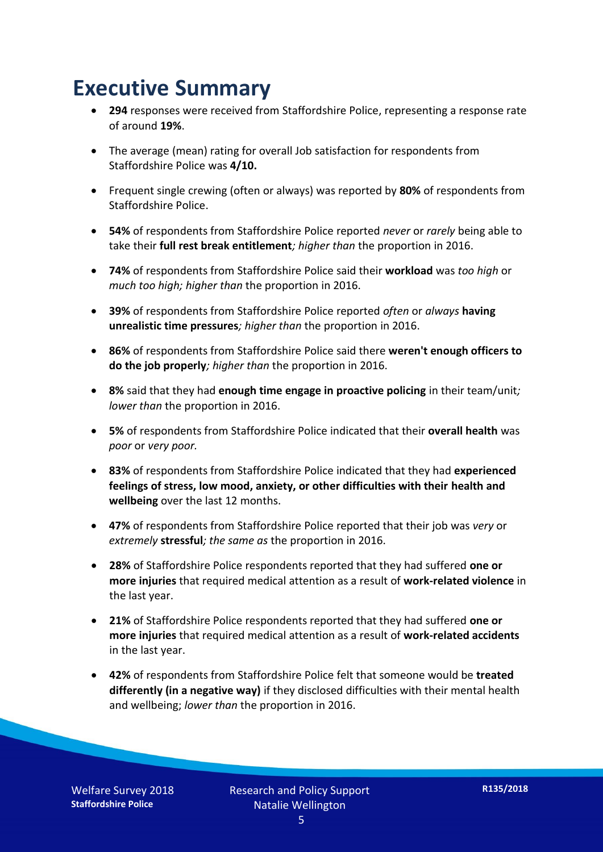### **Executive Summary**

- **294** responses were received from Staffordshire Police, representing a response rate of around **19%**.
- The average (mean) rating for overall Job satisfaction for respondents from Staffordshire Police was **4/10.**
- Frequent single crewing (often or always) was reported by **80%** of respondents from Staffordshire Police.
- **54%** of respondents from Staffordshire Police reported *never* or *rarely* being able to take their **full rest break entitlement***; higher than* the proportion in 2016.
- **74%** of respondents from Staffordshire Police said their **workload** was *too high* or *much too high; higher than* the proportion in 2016.
- **39%** of respondents from Staffordshire Police reported *often* or *always* **having unrealistic time pressures***; higher than* the proportion in 2016.
- **86%** of respondents from Staffordshire Police said there **weren't enough officers to do the job properly***; higher than* the proportion in 2016.
- **8%** said that they had **enough time engage in proactive policing** in their team/unit*; lower than* the proportion in 2016.
- **5%** of respondents from Staffordshire Police indicated that their **overall health** was *poor* or *very poor.*
- **83%** of respondents from Staffordshire Police indicated that they had **experienced feelings of stress, low mood, anxiety, or other difficulties with their health and wellbeing** over the last 12 months.
- **47%** of respondents from Staffordshire Police reported that their job was *very* or *extremely* **stressful***; the same as* the proportion in 2016.
- **28%** of Staffordshire Police respondents reported that they had suffered **one or more injuries** that required medical attention as a result of **work-related violence** in the last year.
- **21%** of Staffordshire Police respondents reported that they had suffered **one or more injuries** that required medical attention as a result of **work-related accidents**  in the last year.
- **42%** of respondents from Staffordshire Police felt that someone would be **treated differently (in a negative way)** if they disclosed difficulties with their mental health and wellbeing; *lower than* the proportion in 2016.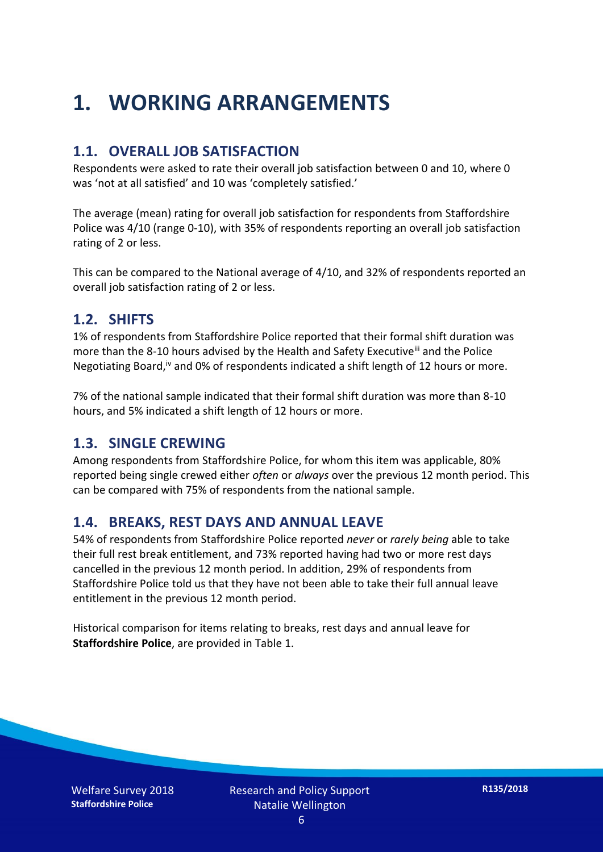## **1. WORKING ARRANGEMENTS**

#### **1.1. OVERALL JOB SATISFACTION**

Respondents were asked to rate their overall job satisfaction between 0 and 10, where 0 was 'not at all satisfied' and 10 was 'completely satisfied.'

The average (mean) rating for overall job satisfaction for respondents from Staffordshire Police was 4/10 (range 0-10), with 35% of respondents reporting an overall job satisfaction rating of 2 or less.

This can be compared to the National average of 4/10, and 32% of respondents reported an overall job satisfaction rating of 2 or less.

#### **1.2. SHIFTS**

1% of respondents from Staffordshire Police reported that their formal shift duration was more than the 8-10 hours advised by the Health and Safety Executive<sup>iii</sup> and the Police Negotiating Board,<sup>iv</sup> and 0% of respondents indicated a shift length of 12 hours or more.

7% of the national sample indicated that their formal shift duration was more than 8-10 hours, and 5% indicated a shift length of 12 hours or more.

#### **1.3. SINGLE CREWING**

Among respondents from Staffordshire Police, for whom this item was applicable, 80% reported being single crewed either *often* or *always* over the previous 12 month period. This can be compared with 75% of respondents from the national sample.

#### **1.4. BREAKS, REST DAYS AND ANNUAL LEAVE**

54% of respondents from Staffordshire Police reported *never* or *rarely being* able to take their full rest break entitlement, and 73% reported having had two or more rest days cancelled in the previous 12 month period. In addition, 29% of respondents from Staffordshire Police told us that they have not been able to take their full annual leave entitlement in the previous 12 month period.

Historical comparison for items relating to breaks, rest days and annual leave for **Staffordshire Police**, are provided in Table 1.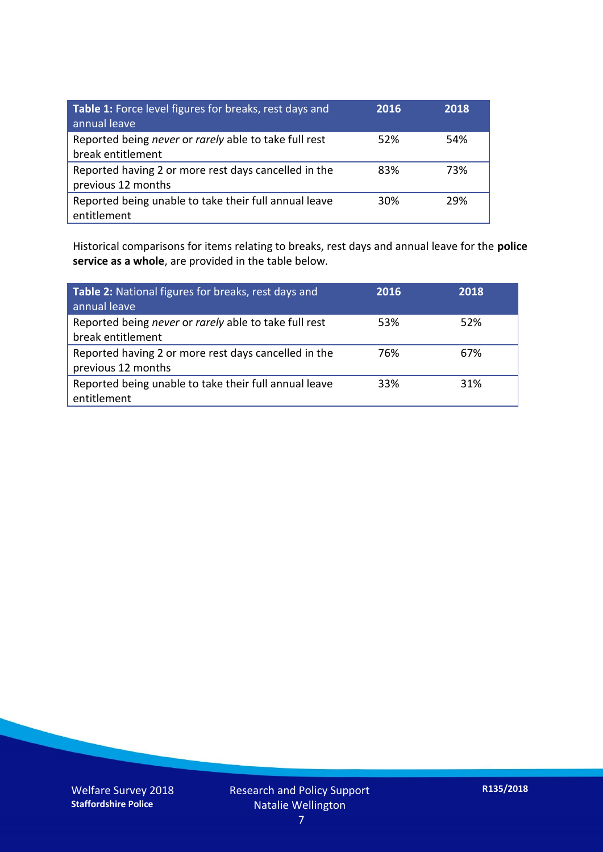| Table 1: Force level figures for breaks, rest days and<br>annual leave     | 2016 | 2018 |
|----------------------------------------------------------------------------|------|------|
| Reported being never or rarely able to take full rest<br>break entitlement | 52%  | 54%  |
| Reported having 2 or more rest days cancelled in the<br>previous 12 months | 83%  | 73%  |
| Reported being unable to take their full annual leave<br>entitlement       | 30%  | 29%  |

Historical comparisons for items relating to breaks, rest days and annual leave for the **police service as a whole**, are provided in the table below.

| Table 2: National figures for breaks, rest days and<br>annual leave        | 2016 | 2018 |
|----------------------------------------------------------------------------|------|------|
| Reported being never or rarely able to take full rest<br>break entitlement | 53%  | 52%  |
| Reported having 2 or more rest days cancelled in the<br>previous 12 months | 76%  | 67%  |
| Reported being unable to take their full annual leave<br>entitlement       | 33%  | 31%  |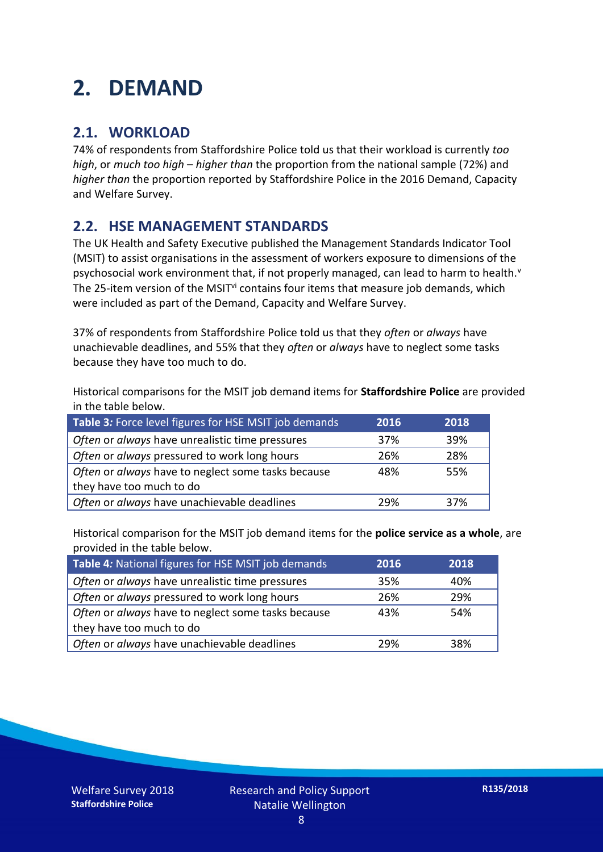## **2. DEMAND**

#### **2.1. WORKLOAD**

74% of respondents from Staffordshire Police told us that their workload is currently *too high*, or *much too high* – *higher than* the proportion from the national sample (72%) and *higher than* the proportion reported by Staffordshire Police in the 2016 Demand, Capacity and Welfare Survey.

#### **2.2. HSE MANAGEMENT STANDARDS**

The UK Health and Safety Executive published the Management Standards Indicator Tool (MSIT) to assist organisations in the assessment of workers exposure to dimensions of the psychosocial work environment that, if not properly managed, can lead to harm to health.<sup>v</sup> The 25-item version of the MSIT<sup>vi</sup> contains four items that measure job demands, which were included as part of the Demand, Capacity and Welfare Survey.

37% of respondents from Staffordshire Police told us that they *often* or *always* have unachievable deadlines, and 55% that they *often* or *always* have to neglect some tasks because they have too much to do.

Historical comparisons for the MSIT job demand items for **Staffordshire Police** are provided in the table below.

| Table 3: Force level figures for HSE MSIT job demands | 2016 | 2018 |
|-------------------------------------------------------|------|------|
| Often or always have unrealistic time pressures       | 37%  | 39%  |
| Often or always pressured to work long hours          | 26%  | 28%  |
| Often or always have to neglect some tasks because    | 48%  | 55%  |
| they have too much to do                              |      |      |
| Often or always have unachievable deadlines           | 29%  | 37%  |

Historical comparison for the MSIT job demand items for the **police service as a whole**, are provided in the table below.

| Table 4: National figures for HSE MSIT job demands | 2016 | 2018 |
|----------------------------------------------------|------|------|
| Often or always have unrealistic time pressures    | 35%  | 40%  |
| Often or always pressured to work long hours       | 26%  | 29%  |
| Often or always have to neglect some tasks because | 43%  | 54%  |
| they have too much to do                           |      |      |
| Often or always have unachievable deadlines        | 29%  | 38%  |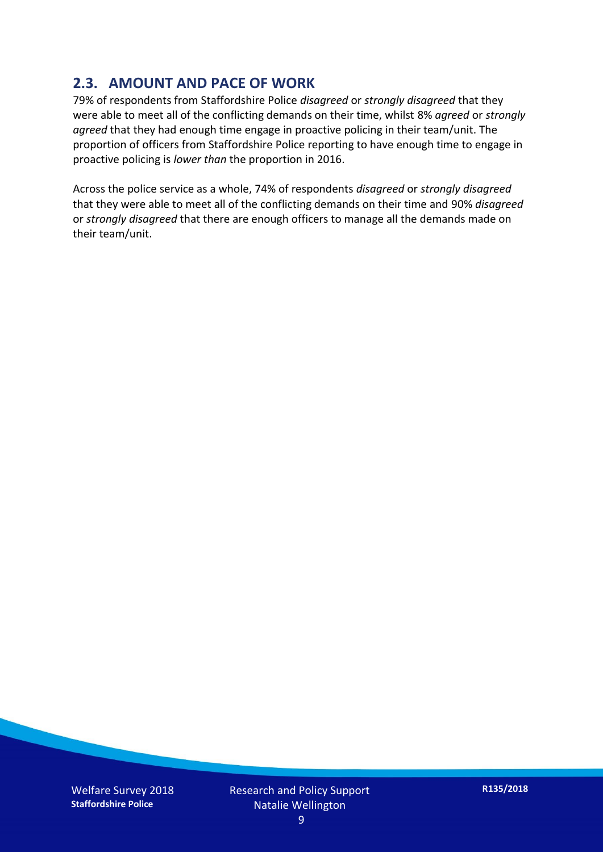#### **2.3. AMOUNT AND PACE OF WORK**

79% of respondents from Staffordshire Police *disagreed* or *strongly disagreed* that they were able to meet all of the conflicting demands on their time, whilst 8% *agreed* or *strongly agreed* that they had enough time engage in proactive policing in their team/unit. The proportion of officers from Staffordshire Police reporting to have enough time to engage in proactive policing is *lower than* the proportion in 2016.

Across the police service as a whole, 74% of respondents *disagreed* or *strongly disagreed* that they were able to meet all of the conflicting demands on their time and 90% *disagreed* or *strongly disagreed* that there are enough officers to manage all the demands made on their team/unit.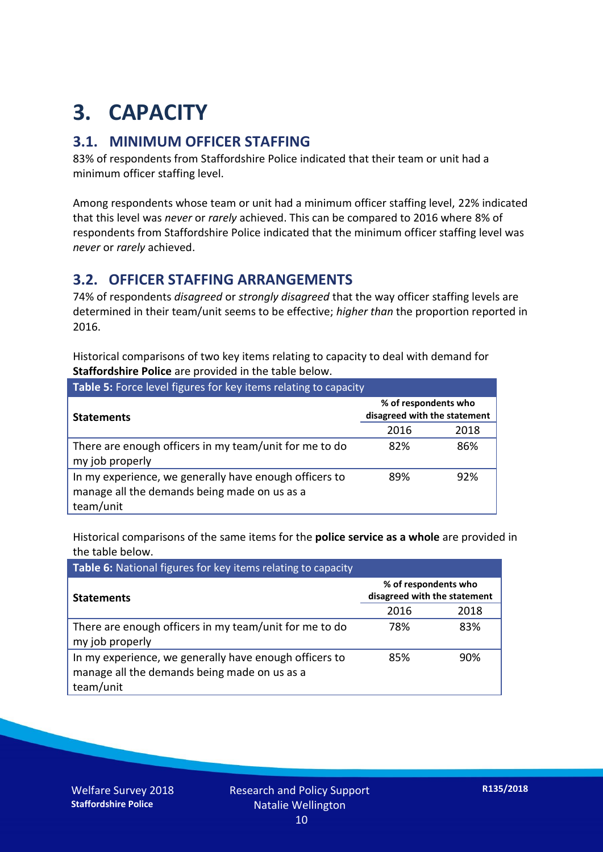## **3. CAPACITY**

#### **3.1. MINIMUM OFFICER STAFFING**

83% of respondents from Staffordshire Police indicated that their team or unit had a minimum officer staffing level.

Among respondents whose team or unit had a minimum officer staffing level, 22% indicated that this level was *never* or *rarely* achieved. This can be compared to 2016 where 8% of respondents from Staffordshire Police indicated that the minimum officer staffing level was *never* or *rarely* achieved.

#### **3.2. OFFICER STAFFING ARRANGEMENTS**

74% of respondents *disagreed* or *strongly disagreed* that the way officer staffing levels are determined in their team/unit seems to be effective; *higher than* the proportion reported in 2016.

Historical comparisons of two key items relating to capacity to deal with demand for **Staffordshire Police** are provided in the table below.

| <b>Table 5:</b> Force level figures for key items relating to capacity                                              |                                                      |      |  |  |
|---------------------------------------------------------------------------------------------------------------------|------------------------------------------------------|------|--|--|
| <b>Statements</b>                                                                                                   | % of respondents who<br>disagreed with the statement |      |  |  |
|                                                                                                                     | 2016                                                 | 2018 |  |  |
| There are enough officers in my team/unit for me to do<br>my job properly                                           | 82%                                                  | 86%  |  |  |
| In my experience, we generally have enough officers to<br>manage all the demands being made on us as a<br>team/unit | 89%                                                  | 92%  |  |  |

Historical comparisons of the same items for the **police service as a whole** are provided in the table below.

| Table 6: National figures for key items relating to capacity                                                        |                                                      |      |  |  |
|---------------------------------------------------------------------------------------------------------------------|------------------------------------------------------|------|--|--|
| <b>Statements</b>                                                                                                   | % of respondents who<br>disagreed with the statement |      |  |  |
|                                                                                                                     | 2016                                                 | 2018 |  |  |
| There are enough officers in my team/unit for me to do<br>my job properly                                           | 78%                                                  | 83%  |  |  |
| In my experience, we generally have enough officers to<br>manage all the demands being made on us as a<br>team/unit | 85%                                                  | 90%  |  |  |

Welfare Survey 2018 **Staffordshire Police**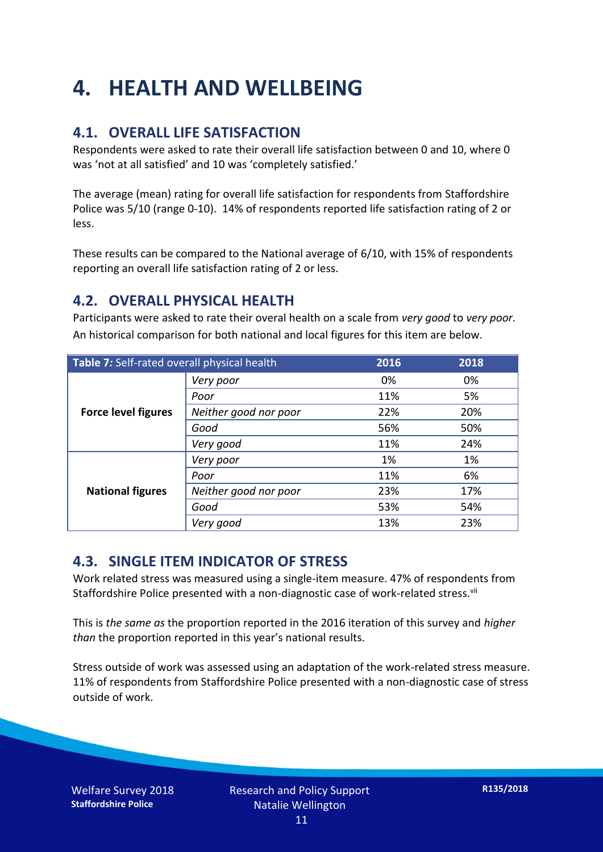## **4. HEALTH AND WELLBEING**

#### **4.1. OVERALL LIFE SATISFACTION**

Respondents were asked to rate their overall life satisfaction between 0 and 10, where 0 was 'not at all satisfied' and 10 was 'completely satisfied.'

The average (mean) rating for overall life satisfaction for respondents from Staffordshire Police was 5/10 (range 0-10). 14% of respondents reported life satisfaction rating of 2 or less.

These results can be compared to the National average of 6/10, with 15% of respondents reporting an overall life satisfaction rating of 2 or less.

#### **4.2. OVERALL PHYSICAL HEALTH**

Participants were asked to rate their overal health on a scale from *very good* to *very poor*. An historical comparison for both national and local figures for this item are below.

| Table 7: Self-rated overall physical health |                       | 2016 | 2018 |
|---------------------------------------------|-----------------------|------|------|
| <b>Force level figures</b>                  | Very poor             | 0%   | 0%   |
|                                             | Poor                  | 11%  | 5%   |
|                                             | Neither good nor poor | 22%  | 20%  |
|                                             | Good                  | 56%  | 50%  |
|                                             | Very good             | 11%  | 24%  |
| <b>National figures</b>                     | Very poor             | 1%   | 1%   |
|                                             | Poor                  | 11%  | 6%   |
|                                             | Neither good nor poor | 23%  | 17%  |
|                                             | Good                  | 53%  | 54%  |
|                                             | Very good             | 13%  | 23%  |

#### **4.3. SINGLE ITEM INDICATOR OF STRESS**

Work related stress was measured using a single-item measure. 47% of respondents from Staffordshire Police presented with a non-diagnostic case of work-related stress.<sup>vii</sup>

This is *the same as* the proportion reported in the 2016 iteration of this survey and *higher than* the proportion reported in this year's national results.

Stress outside of work was assessed using an adaptation of the work-related stress measure. 11% of respondents from Staffordshire Police presented with a non-diagnostic case of stress outside of work.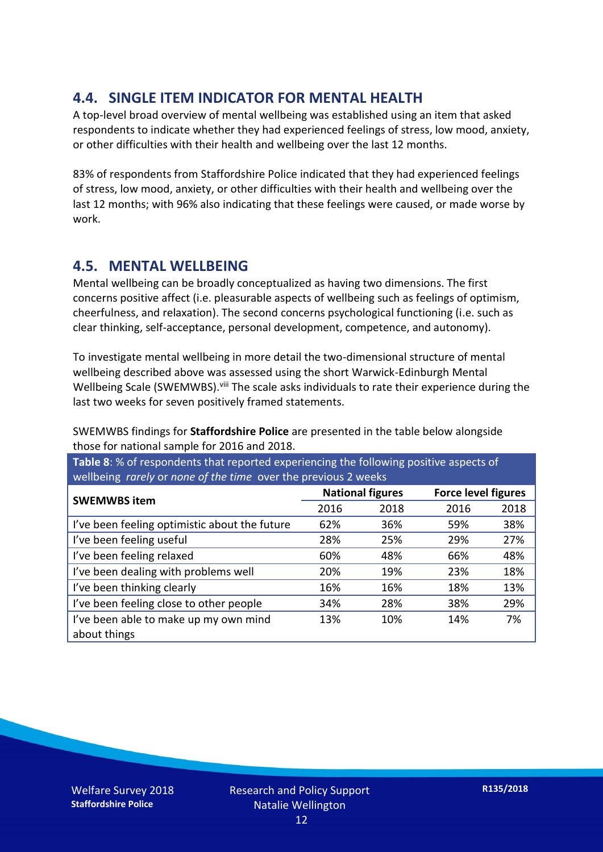#### **4.4. SINGLE ITEM INDICATOR FOR MENTAL HEALTH**

A top-level broad overview of mental wellbeing was established using an item that asked respondents to indicate whether they had experienced feelings of stress, low mood, anxiety, or other difficulties with their health and wellbeing over the last 12 months.

83% of respondents from Staffordshire Police indicated that they had experienced feelings of stress, low mood, anxiety, or other difficulties with their health and wellbeing over the last 12 months; with 96% also indicating that these feelings were caused, or made worse by work.

#### **4.5. MENTAL WELLBEING**

Mental wellbeing can be broadly conceptualized as having two dimensions. The first concerns positive affect (i.e. pleasurable aspects of wellbeing such as feelings of optimism, cheerfulness, and relaxation). The second concerns psychological functioning (i.e. such as clear thinking, self-acceptance, personal development, competence, and autonomy).

To investigate mental wellbeing in more detail the two-dimensional structure of mental wellbeing described above was assessed using the short Warwick-Edinburgh Mental Wellbeing Scale (SWEMWBS). viii The scale asks individuals to rate their experience during the last two weeks for seven positively framed statements.

SWEMWBS findings for **Staffordshire Police** are presented in the table below alongside those for national sample for 2016 and 2018.

**Table 8**: % of respondents that reported experiencing the following positive aspects of wellbeing *rarely* or *none of the time* over the previous 2 weeks

| <b>SWEMWBS item</b>                           | <b>National figures</b> |      | <b>Force level figures</b> |      |
|-----------------------------------------------|-------------------------|------|----------------------------|------|
|                                               | 2016                    | 2018 | 2016                       | 2018 |
| I've been feeling optimistic about the future | 62%                     | 36%  | 59%                        | 38%  |
| I've been feeling useful                      | 28%                     | 25%  | 29%                        | 27%  |
| I've been feeling relaxed                     | 60%                     | 48%  | 66%                        | 48%  |
| I've been dealing with problems well          | 20%                     | 19%  | 23%                        | 18%  |
| I've been thinking clearly                    | 16%                     | 16%  | 18%                        | 13%  |
| I've been feeling close to other people       | 34%                     | 28%  | 38%                        | 29%  |
| I've been able to make up my own mind         | 13%                     | 10%  | 14%                        | 7%   |
| about things                                  |                         |      |                            |      |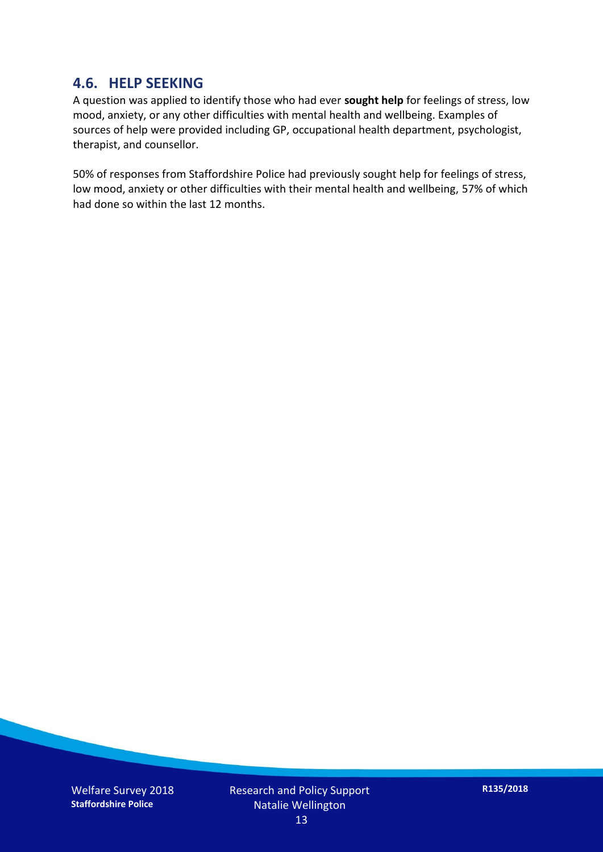#### **4.6. HELP SEEKING**

A question was applied to identify those who had ever **sought help** for feelings of stress, low mood, anxiety, or any other difficulties with mental health and wellbeing. Examples of sources of help were provided including GP, occupational health department, psychologist, therapist, and counsellor.

50% of responses from Staffordshire Police had previously sought help for feelings of stress, low mood, anxiety or other difficulties with their mental health and wellbeing, 57% of which had done so within the last 12 months.

Welfare Survey 2018 **Staffordshire Police**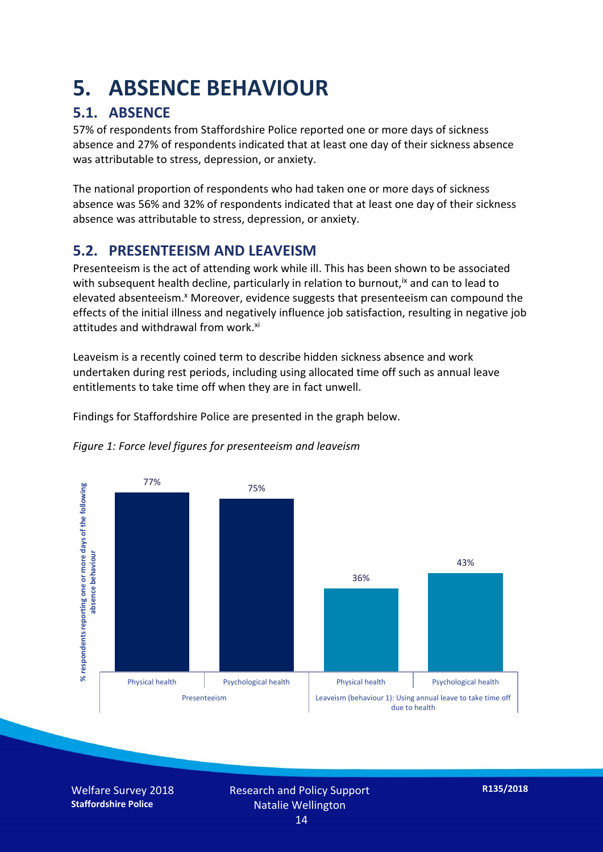### **5. ABSENCE BEHAVIOUR**

#### **5.1. ABSENCE**

57% of respondents from Staffordshire Police reported one or more days of sickness absence and 27% of respondents indicated that at least one day of their sickness absence was attributable to stress, depression, or anxiety.

The national proportion of respondents who had taken one or more days of sickness absence was 56% and 32% of respondents indicated that at least one day of their sickness absence was attributable to stress, depression, or anxiety.

#### **5.2. PRESENTEEISM AND LEAVEISM**

Presenteeism is the act of attending work while ill. This has been shown to be associated with subsequent health decline, particularly in relation to burnout,  $\alpha$  and can to lead to elevated absenteeism.<sup>x</sup> Moreover, evidence suggests that presenteeism can compound the effects of the initial illness and negatively influence job satisfaction, resulting in negative job attitudes and withdrawal from work.<sup>xi</sup>

Leaveism is a recently coined term to describe hidden sickness absence and work undertaken during rest periods, including using allocated time off such as annual leave entitlements to take time off when they are in fact unwell.

Findings for Staffordshire Police are presented in the graph below.



*Figure 1: Force level figures for presenteeism and leaveism*

Welfare Survey 2018 **Staffordshire Police**

due to health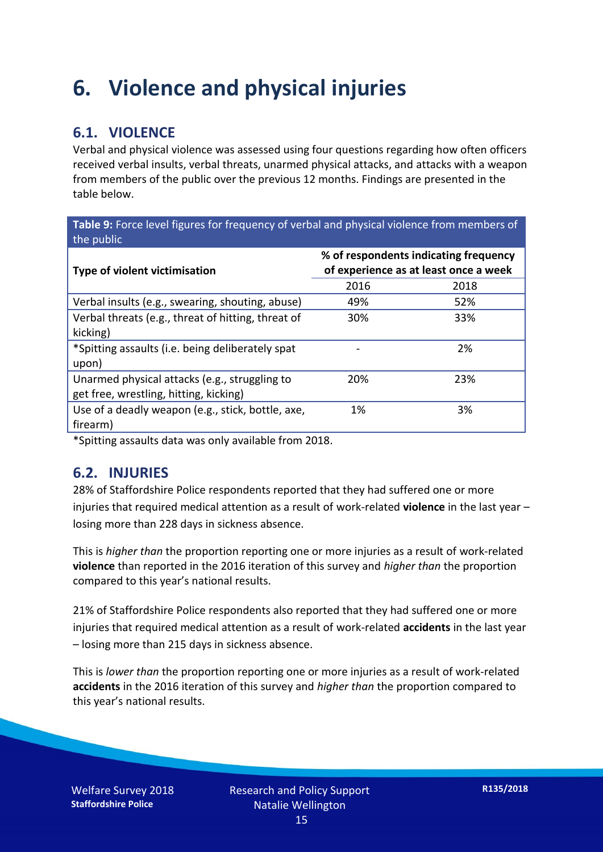### **6. Violence and physical injuries**

#### **6.1. VIOLENCE**

Verbal and physical violence was assessed using four questions regarding how often officers received verbal insults, verbal threats, unarmed physical attacks, and attacks with a weapon from members of the public over the previous 12 months. Findings are presented in the table below.

**Table 9:** Force level figures for frequency of verbal and physical violence from members of the public

| Type of violent victimisation                      | % of respondents indicating frequency<br>of experience as at least once a week |      |  |
|----------------------------------------------------|--------------------------------------------------------------------------------|------|--|
|                                                    | 2016                                                                           | 2018 |  |
| Verbal insults (e.g., swearing, shouting, abuse)   | 49%                                                                            | 52%  |  |
| Verbal threats (e.g., threat of hitting, threat of | 30%                                                                            | 33%  |  |
| kicking)                                           |                                                                                |      |  |
| *Spitting assaults (i.e. being deliberately spat   |                                                                                | 2%   |  |
| upon)                                              |                                                                                |      |  |
| Unarmed physical attacks (e.g., struggling to      | 20%                                                                            | 23%  |  |
| get free, wrestling, hitting, kicking)             |                                                                                |      |  |
| Use of a deadly weapon (e.g., stick, bottle, axe,  | 1%                                                                             | 3%   |  |
| firearm)                                           |                                                                                |      |  |

\*Spitting assaults data was only available from 2018.

#### **6.2. INJURIES**

28% of Staffordshire Police respondents reported that they had suffered one or more injuries that required medical attention as a result of work-related **violence** in the last year – losing more than 228 days in sickness absence.

This is *higher than* the proportion reporting one or more injuries as a result of work-related **violence** than reported in the 2016 iteration of this survey and *higher than* the proportion compared to this year's national results.

21% of Staffordshire Police respondents also reported that they had suffered one or more injuries that required medical attention as a result of work-related **accidents** in the last year – losing more than 215 days in sickness absence.

This is *lower than* the proportion reporting one or more injuries as a result of work-related **accidents** in the 2016 iteration of this survey and *higher than* the proportion compared to this year's national results.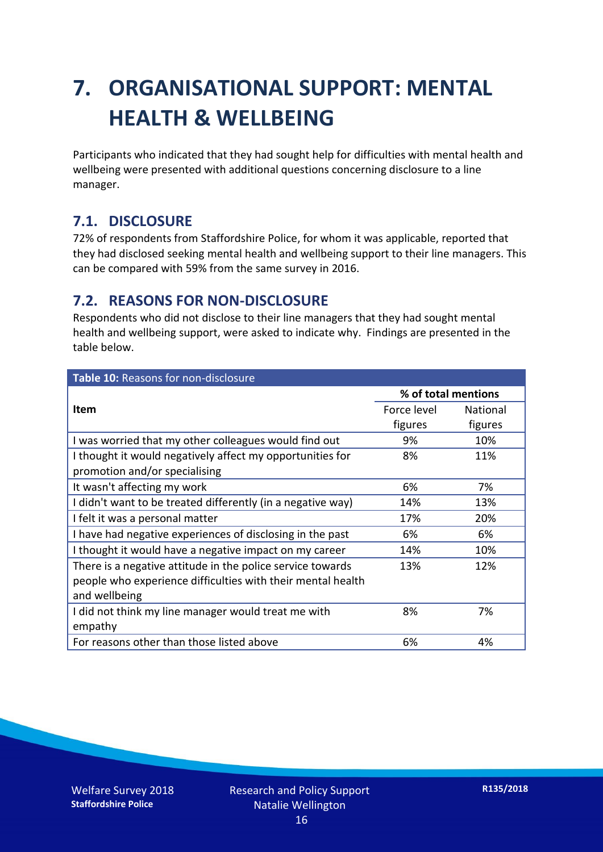## **7. ORGANISATIONAL SUPPORT: MENTAL HEALTH & WELLBEING**

Participants who indicated that they had sought help for difficulties with mental health and wellbeing were presented with additional questions concerning disclosure to a line manager.

#### **7.1. DISCLOSURE**

72% of respondents from Staffordshire Police, for whom it was applicable, reported that they had disclosed seeking mental health and wellbeing support to their line managers. This can be compared with 59% from the same survey in 2016.

#### **7.2. REASONS FOR NON-DISCLOSURE**

Respondents who did not disclose to their line managers that they had sought mental health and wellbeing support, were asked to indicate why. Findings are presented in the table below.

| Table 10: Reasons for non-disclosure                        |                     |                 |  |
|-------------------------------------------------------------|---------------------|-----------------|--|
|                                                             | % of total mentions |                 |  |
| Item                                                        | Force level         | <b>National</b> |  |
|                                                             | figures             | figures         |  |
| I was worried that my other colleagues would find out       | 9%                  | 10%             |  |
| I thought it would negatively affect my opportunities for   | 8%                  | 11%             |  |
| promotion and/or specialising                               |                     |                 |  |
| It wasn't affecting my work                                 | 6%                  | 7%              |  |
| I didn't want to be treated differently (in a negative way) | 14%                 | 13%             |  |
| I felt it was a personal matter                             | 17%                 | 20%             |  |
| I have had negative experiences of disclosing in the past   | 6%                  | 6%              |  |
| I thought it would have a negative impact on my career      | 14%                 | 10%             |  |
| There is a negative attitude in the police service towards  | 13%                 | 12%             |  |
| people who experience difficulties with their mental health |                     |                 |  |
| and wellbeing                                               |                     |                 |  |
| I did not think my line manager would treat me with         | 8%                  | 7%              |  |
| empathy                                                     |                     |                 |  |
| For reasons other than those listed above                   | 6%                  | 4%              |  |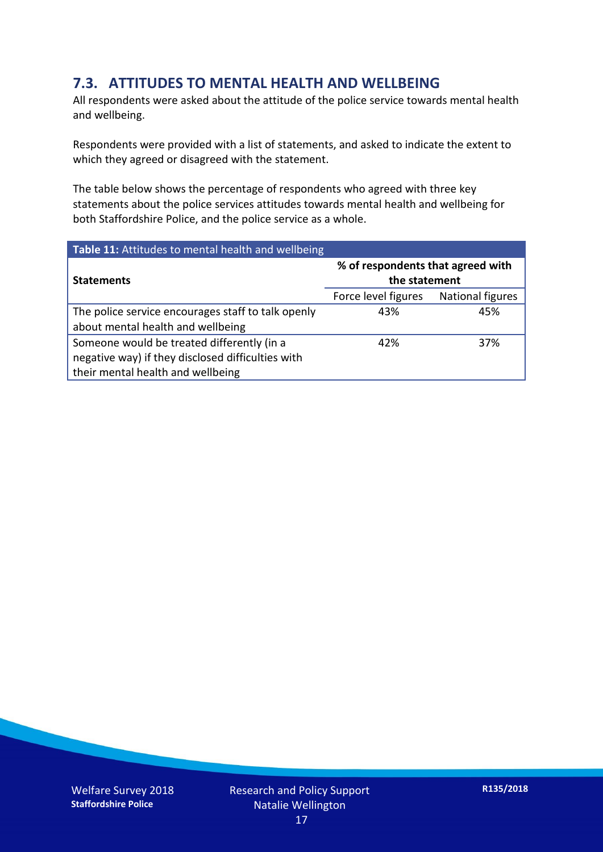#### **7.3. ATTITUDES TO MENTAL HEALTH AND WELLBEING**

All respondents were asked about the attitude of the police service towards mental health and wellbeing.

Respondents were provided with a list of statements, and asked to indicate the extent to which they agreed or disagreed with the statement.

The table below shows the percentage of respondents who agreed with three key statements about the police services attitudes towards mental health and wellbeing for both Staffordshire Police, and the police service as a whole.

| Table 11: Attitudes to mental health and wellbeing |                                                    |                         |  |
|----------------------------------------------------|----------------------------------------------------|-------------------------|--|
| <b>Statements</b>                                  | % of respondents that agreed with<br>the statement |                         |  |
|                                                    | Force level figures                                | <b>National figures</b> |  |
| The police service encourages staff to talk openly | 43%                                                | 45%                     |  |
| about mental health and wellbeing                  |                                                    |                         |  |
| Someone would be treated differently (in a         | 42%                                                | 37%                     |  |
| negative way) if they disclosed difficulties with  |                                                    |                         |  |
| their mental health and wellbeing                  |                                                    |                         |  |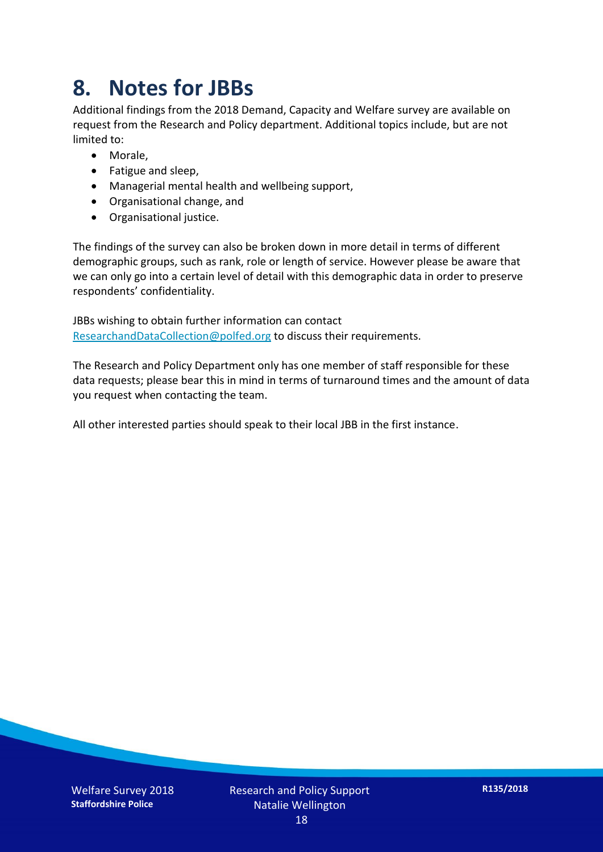### **8. Notes for JBBs**

Additional findings from the 2018 Demand, Capacity and Welfare survey are available on request from the Research and Policy department. Additional topics include, but are not limited to:

- Morale,
- Fatigue and sleep,
- Managerial mental health and wellbeing support,
- Organisational change, and
- Organisational justice.

The findings of the survey can also be broken down in more detail in terms of different demographic groups, such as rank, role or length of service. However please be aware that we can only go into a certain level of detail with this demographic data in order to preserve respondents' confidentiality.

JBBs wishing to obtain further information can contact [ResearchandDataCollection@polfed.org](mailto:ResearchandDataCollection@polfed.org) to discuss their requirements.

The Research and Policy Department only has one member of staff responsible for these data requests; please bear this in mind in terms of turnaround times and the amount of data you request when contacting the team.

All other interested parties should speak to their local JBB in the first instance.